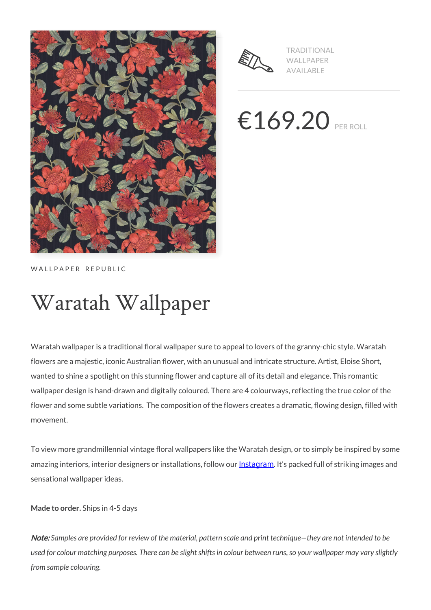



TRADITIONAL WALLPAPER AVAILABLE

 $€169.20$  PER ROLL

WALLPAPER REPUBLIC

# Waratah Wallpaper

Waratah wallpaper is a traditional floral wallpaper sure to appeal to lovers of the granny-chic style. Waratah flowers are a majestic, iconic Australian flower, with an unusual and intricate structure. Artist, Eloise Short, wanted to shine a spotlight on this stunning flower and capture all of its detail and elegance. This romantic wallpaper design is hand-drawn and digitally coloured. There are 4 colourways, reflecting the true color of the flower and some subtle variations. The composition of the flowers creates a dramatic, flowing design, filled with movement.

To view more grandmillennial vintage floral wallpapers like the Waratah design, or to simply be inspired by some amazing interiors, interior designers or installations, follow our **[Instagram](https://www.instagram.com/miltonandking/)**. It's packed full of striking images and sensational wallpaper ideas.

**Made to order.** Ships in 4-5 days

Note: *Samples are provided for review of the material, pattern scale and print technique—they are not intended to be used for colour matching purposes. There can be slight shifts in colour between runs, so your wallpaper may vary slightly from sample colouring.*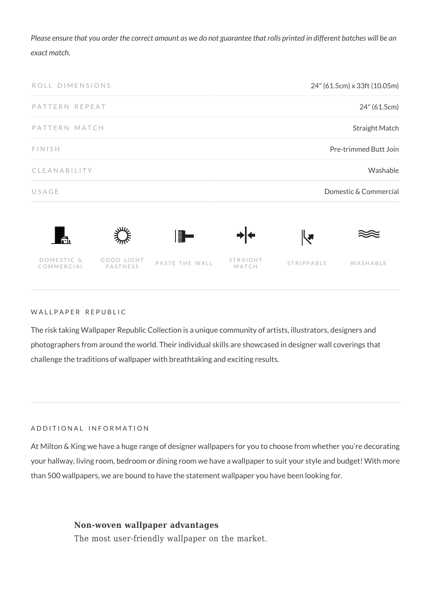*Please ensure that you order the correct amount as we do not guarantee that rolls printed in different batches will be an exact match.*



WALLPAPER REPUBLIC

GOOD LIGHT<br>FASTNESS

DOMESTIC & COMMERCIAL

The risk taking Wallpaper Republic Collection is a unique community of artists, illustrators, designers and photographers from around the world. Their individual skills are showcased in designer wall coverings that challenge the traditions of wallpaper with breathtaking and exciting results.

PASTE THE WALL STRAIGHT

STRIPPABLE WASHABLE

#### ADDITIONAL INFORMATION

At Milton & King we have a huge range of designer wallpapers for you to choose from whether you're decorating your hallway, living room, bedroom or dining room we have a wallpaper to suit your style and budget! With more than 500 wallpapers, we are bound to have the statement wallpaper you have been looking for.

### **Non-woven wallpaper advantages**

The most user-friendly wallpaper on the market.